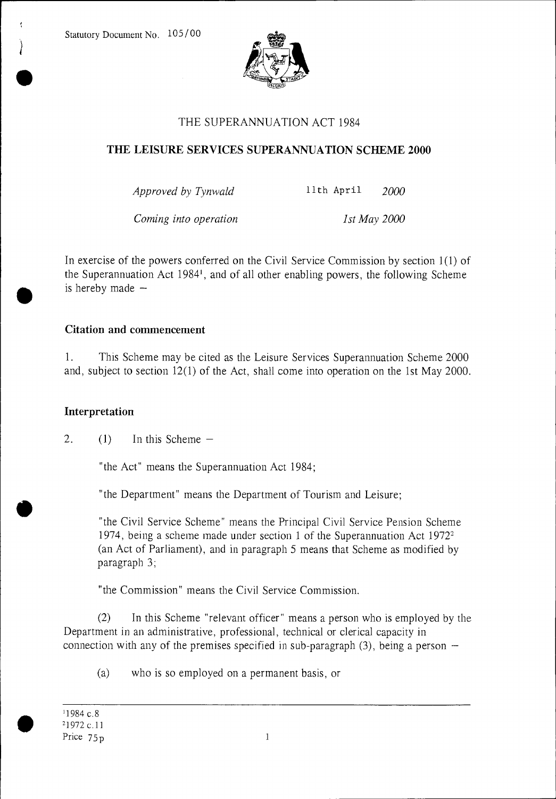

# THE SUPERANNUATION ACT 1984

# THE LEISURE SERVICES SUPERANNUATION SCHEME 2000

*Approved by Tynwald* 11th April *2000* 

*Coming into operation* 1st May 2000

In exercise of the powers conferred on the Civil Service Commission by section 1(1) of the Superannuation Act 1984', and of all other enabling powers, the following Scheme is hereby made —

# Citation and commencement

1. This Scheme may be cited as the Leisure Services Superannuation Scheme 2000 and, subject to section 12(1) of the Act, shall come into operation on the 1st May 2000.

# Interpretation

2. (1) In this Scheme  $-$ 

"the Act" means the Superannuation Act 1984;

"the Department" means the Department of Tourism and Leisure;

"the Civil Service Scheme" means the Principal Civil Service Pension Scheme 1974, being a scheme made under section 1 of the Superannuation Act 1972<sup>2</sup> (an Act of Parliament), and in paragraph 5 means that Scheme as modified by paragraph 3;

"the Commission" means the Civil Service Commission.

(2) In this Scheme "relevant officer" means a person who is employed by the Department in an administrative, professional, technical or clerical capacity in connection with any of the premises specified in sub-paragraph (3), being a person —

(a) who is so employed on a permanent basis, or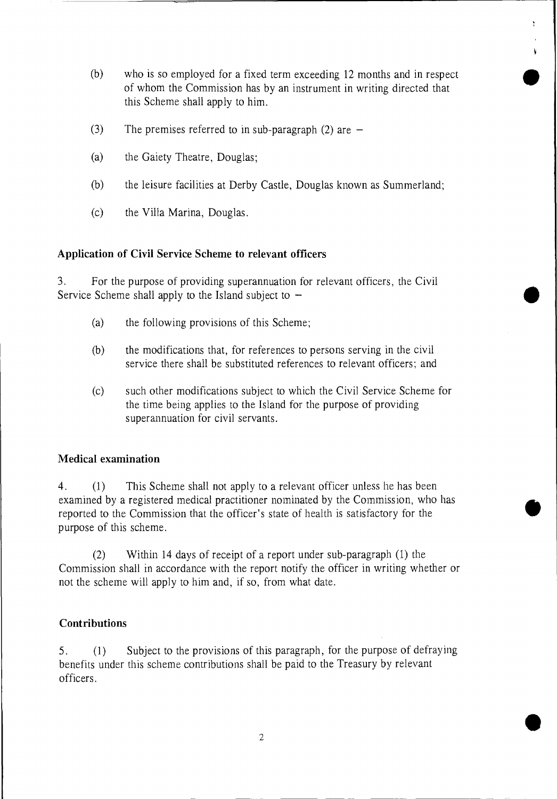(b) who is so employed for a fixed term exceeding 12 months and in respect of whom the Commission has by an instrument in writing directed that this Scheme shall apply to him.

•<br>●

**•** 

•

•

- (3) The premises referred to in sub-paragraph (2) are  $-$
- (a) the Gaiety Theatre, Douglas;
- (b) the leisure facilities at Derby Castle, Douglas known as Summerland;
- (c) the Villa Marina, Douglas.

#### **Application of Civil Service Scheme to relevant officers**

3. For the purpose of providing superannuation for relevant officers, the Civil Service Scheme shall apply to the Island subject to —

- (a) the following provisions of this Scheme;
- (b) the modifications that, for references to persons serving in the civil service there shall be substituted references to relevant officers; and
- (c) such other modifications subject to which the Civil Service Scheme for the time being applies to the Island for the purpose of providing superannuation for civil servants.

#### **Medical examination**

**4. (1)** This Scheme shall not apply to a relevant officer unless he has been examined by a registered medical practitioner nominated by the Commission, who has reported to the Commission that the officer's state of health is satisfactory for the purpose of this scheme.

(2) Within 14 days of receipt of a report under sub-paragraph (1) the Commission shall in accordance with the report notify the officer in writing whether or not the scheme will apply to him and, if so, from what date.

#### **Contributions**

**5. (1)** Subject to the provisions of this paragraph, for the purpose of defraying benefits under this scheme contributions shall be paid to the Treasury by relevant officers.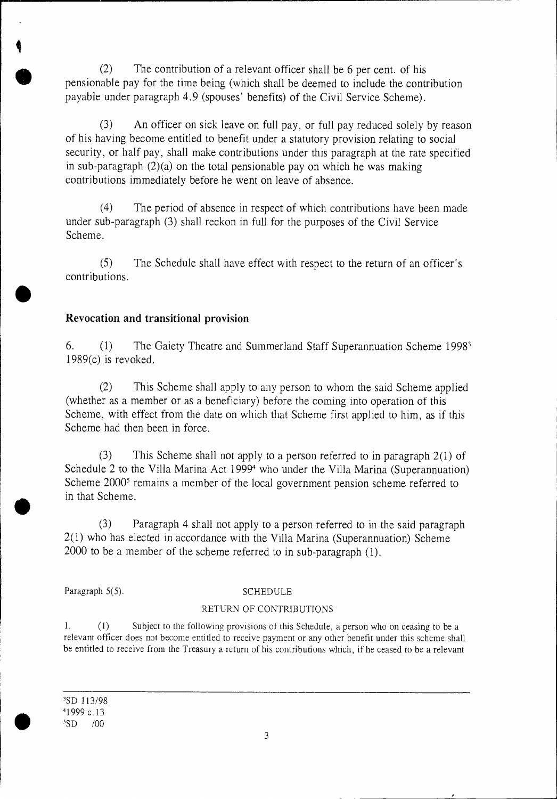(2) The contribution of a relevant officer shall be 6 per cent. of his pensionable pay for the time being (which shall be deemed to include the contribution payable under paragraph 4.9 (spouses' benefits) of the Civil Service Scheme).

(3) An officer on sick leave on full pay, or full pay reduced solely by reason of his having become entitled to benefit under a statutory provision relating to social security, or half pay, shall make contributions under this paragraph at the rate specified in sub-paragraph  $(2)(a)$  on the total pensionable pay on which he was making contributions immediately before he went on leave of absence.

(4) The period of absence in respect of which contributions have been made under sub-paragraph (3) shall reckon in full for the purposes of the Civil Service Scheme.

(5) The Schedule shall have effect with respect to the return of an officer's contributions.

### Revocation and transitional provision

6. (1) The Gaiety Theatre and Summerland Staff Superannuation Scheme 1998' 1989(c) is revoked.

(2) This Scheme shall apply to any person to whom the said Scheme applied (whether as a member or as a beneficiary) before the coming into operation of this Scheme, with effect from the date on which that Scheme first applied to him, as if this Scheme had then been in force.

(3) This Scheme shall not apply to a person referred to in paragraph 2(1) of Schedule 2 to the Villa Marina Act 1999<sup>4</sup> who under the Villa Marina (Superannuation) Scheme 2000<sup>5</sup> remains a member of the local government pension scheme referred to in that Scheme.

(3 ) Paragraph 4 shall not apply to a person referred to in the said paragraph 2(1) who has elected in accordance with the Villa Marina (Superannuation) Scheme 2000 to be a member of the scheme referred to in sub-paragraph (1).

Paragraph 5(5). SCHEDULE

#### RETURN OF CONTRIBUTIONS

1. (1) Subject to the following provisions of this Schedule, a person who on ceasing to be a relevant officer does not become entitled to receive payment or any other benefit under this scheme shall be entitled to receive from the Treasury a return of his contributions which, if he ceased to be a relevant

'SD 113/98 <sup>4</sup> 1999 c.13  $^5SD$  /00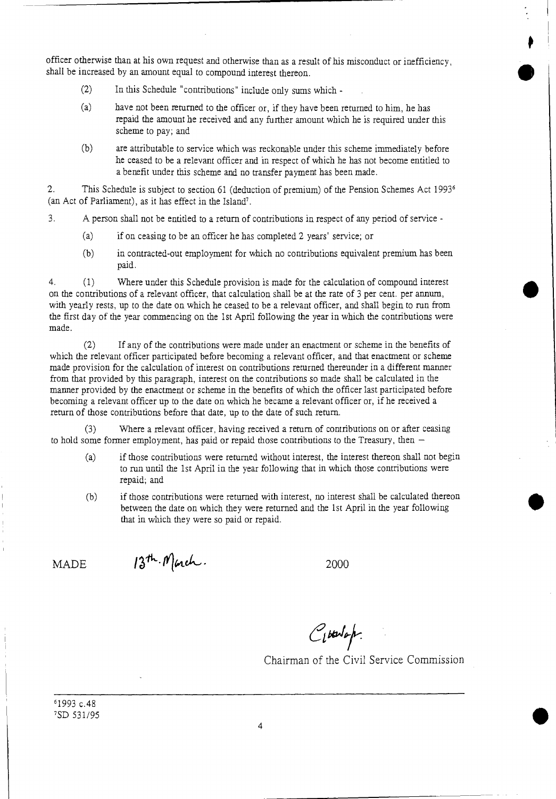officer otherwise than at his own request and otherwise than as a result of his misconduct or inefficiency, shall be increased by an amount equal to compound interest thereon.

- (2) In this Schedule "contributions" include only sums which -
- (a) have not been returned to the officer or, if they have been returned to him, he has repaid the amount he received and any further amount which he is required under this scheme to pay; and
- (b) are attributable to service which was reckonable under this scheme immediately before he ceased to be a relevant officer and in respect of which he has not become entitled to a benefit under this scheme and no transfer payment has been made.

2. This Schedule is subject to section 61 (deduction of premium) of the Pension Schemes Act 1993<sup>6</sup> (an Act of Parliament), as it has effect in the Island'.

3. A person shall not be entitled to a return of contributions in respect of any period of service -

- (a) if on ceasing to be an officer he has completed 2 years' service; or
- (b) in contracted-out employment for which no contributions equivalent premium has been paid.

4. (1) Where under this Schedule provision is made for the calculation of compound interest on the contributions of a relevant officer, that calculation shall be at the rate of 3 per cent. per annum, with yearly rests, up to the date on which he ceased to be a relevant officer, and shall begin to run from the first day of the year commencing on the 1st April following the year in which the contributions were made.

(2) If any of the contributions were made under an enactment or scheme in the benefits of which the relevant officer participated before becoming a relevant officer, and that enactment or scheme made provision for the calculation of interest on contributions returned thereunder in a different manner from that provided by this paragraph, interest on the contributions so made shall be calculated in the manner provided by the enactment or scheme in the benefits of which the officer last participated before becoming a relevant officer up to the date on which he became a relevant officer or, if he received a return of those contributions before that date, up to the date of such return.

(3) Where a relevant officer, having received a return of contributions on or after ceasing to hold some former employment, has paid or repaid those contributions to the Treasury, then  $-$ 

- (a) if those contributions were returned without interest, the interest thereon shall not begin to run until the 1st April in the year following that in which those contributions were repaid; and
- (b) if those contributions were returned with interest, no interest shall be calculated thereon between the date on which they were returned and the 1st April in the year following that in which they were so paid or repaid.

 $MADE$   $13<sup>th</sup>$ . Mach.  $2000$ 

Citalop.

Chairman of the Civil Service Commission

•

•

<sup>6</sup> 1993 c.48 'SD 531/95